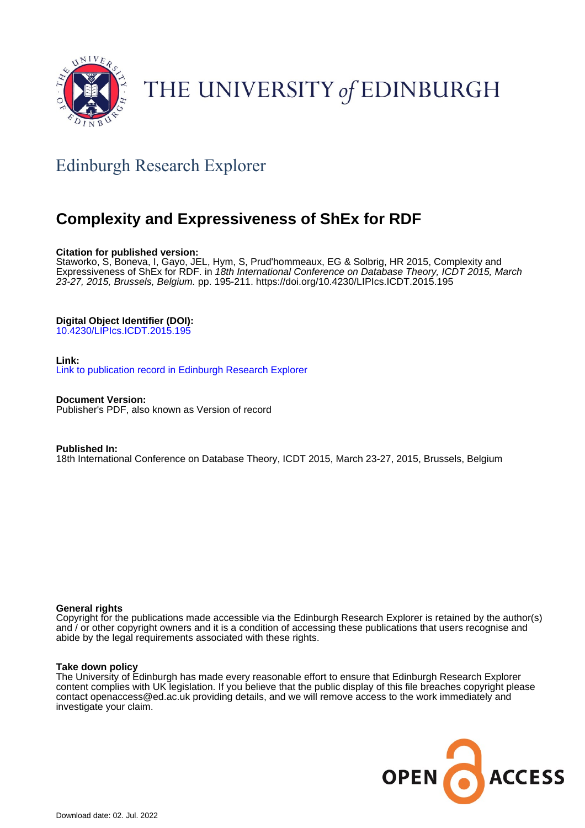

# THE UNIVERSITY of EDINBURGH

## Edinburgh Research Explorer

## **Complexity and Expressiveness of ShEx for RDF**

## **Citation for published version:**

Staworko, S, Boneva, I, Gayo, JEL, Hym, S, Prud'hommeaux, EG & Solbrig, HR 2015, Complexity and Expressiveness of ShEx for RDF. in 18th International Conference on Database Theory, ICDT 2015, March 23-27, 2015, Brussels, Belgium. pp. 195-211.<https://doi.org/10.4230/LIPIcs.ICDT.2015.195>

## **Digital Object Identifier (DOI):**

[10.4230/LIPIcs.ICDT.2015.195](https://doi.org/10.4230/LIPIcs.ICDT.2015.195)

## **Link:**

[Link to publication record in Edinburgh Research Explorer](https://www.research.ed.ac.uk/en/publications/38163313-ea9f-4fd4-81fe-981dec635f20)

**Document Version:** Publisher's PDF, also known as Version of record

#### **Published In:**

18th International Conference on Database Theory, ICDT 2015, March 23-27, 2015, Brussels, Belgium

## **General rights**

Copyright for the publications made accessible via the Edinburgh Research Explorer is retained by the author(s) and / or other copyright owners and it is a condition of accessing these publications that users recognise and abide by the legal requirements associated with these rights.

## **Take down policy**

The University of Edinburgh has made every reasonable effort to ensure that Edinburgh Research Explorer content complies with UK legislation. If you believe that the public display of this file breaches copyright please contact openaccess@ed.ac.uk providing details, and we will remove access to the work immediately and investigate your claim.

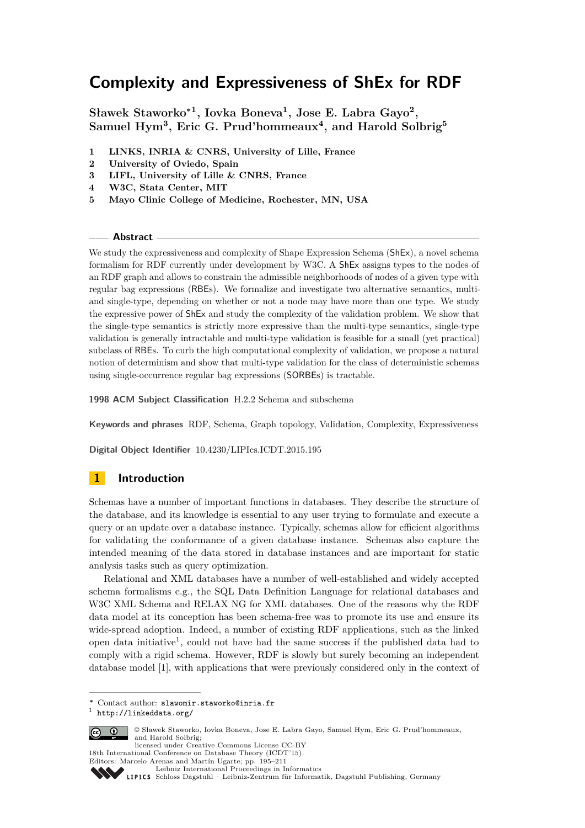## **Complexity and Expressiveness of ShEx for RDF**

**Sławek Staworko<sup>∗</sup><sup>1</sup> , Iovka Boneva<sup>1</sup> , Jose E. Labra Gayo<sup>2</sup> , Samuel Hym<sup>3</sup> , Eric G. Prud'hommeaux<sup>4</sup> , and Harold Solbrig<sup>5</sup>**

- **1 LINKS, INRIA & CNRS, University of Lille, France**
- **2 University of Oviedo, Spain**
- **3 LIFL, University of Lille & CNRS, France**
- **4 W3C, Stata Center, MIT**
- **5 Mayo Clinic College of Medicine, Rochester, MN, USA**

#### **Abstract**

We study the expressiveness and complexity of Shape Expression Schema (ShEx), a novel schema formalism for RDF currently under development by W3C. A ShEx assigns types to the nodes of an RDF graph and allows to constrain the admissible neighborhoods of nodes of a given type with regular bag expressions (RBEs). We formalize and investigate two alternative semantics, multiand single-type, depending on whether or not a node may have more than one type. We study the expressive power of ShEx and study the complexity of the validation problem. We show that the single-type semantics is strictly more expressive than the multi-type semantics, single-type validation is generally intractable and multi-type validation is feasible for a small (yet practical) subclass of RBEs. To curb the high computational complexity of validation, we propose a natural notion of determinism and show that multi-type validation for the class of deterministic schemas using single-occurrence regular bag expressions (SORBEs) is tractable.

**1998 ACM Subject Classification** H.2.2 Schema and subschema

**Keywords and phrases** RDF, Schema, Graph topology, Validation, Complexity, Expressiveness

**Digital Object Identifier** [10.4230/LIPIcs.ICDT.2015.195](http://dx.doi.org/10.4230/LIPIcs.ICDT.2015.195)

## **1 Introduction**

Schemas have a number of important functions in databases. They describe the structure of the database, and its knowledge is essential to any user trying to formulate and execute a query or an update over a database instance. Typically, schemas allow for efficient algorithms for validating the conformance of a given database instance. Schemas also capture the intended meaning of the data stored in database instances and are important for static analysis tasks such as query optimization.

Relational and XML databases have a number of well-established and widely accepted schema formalisms e.g., the SQL Data Definition Language for relational databases and W3C XML Schema and RELAX NG for XML databases. One of the reasons why the RDF data model at its conception has been schema-free was to promote its use and ensure its wide-spread adoption. Indeed, a number of existing RDF applications, such as the linked open data initiative<sup>[1](#page-1-0)</sup>, could not have had the same success if the published data had to comply with a rigid schema. However, RDF is slowly but surely becoming an independent database model [\[1\]](#page-16-0), with applications that were previously considered only in the context of

<span id="page-1-0"></span><sup>1</sup> <http://linkeddata.org/>



<sup>©</sup> Sławek Staworko, Iovka Boneva, Jose E. Labra Gayo, Samuel Hym, Eric G. Prud'hommeaux, and Harold Solbrig; licensed under Creative Commons License CC-BY

18th International Conference on Database Theory (ICDT'15). Editors: Marcelo Arenas and Martín Ugarte; pp. 195[–211](#page-17-0)

[Schloss Dagstuhl – Leibniz-Zentrum für Informatik, Dagstuhl Publishing, Germany](http://www.dagstuhl.de)

**<sup>∗</sup>** Contact author: slawomir.staworko@inria.fr

[Leibniz International Proceedings in Informatics](http://www.dagstuhl.de/lipics/)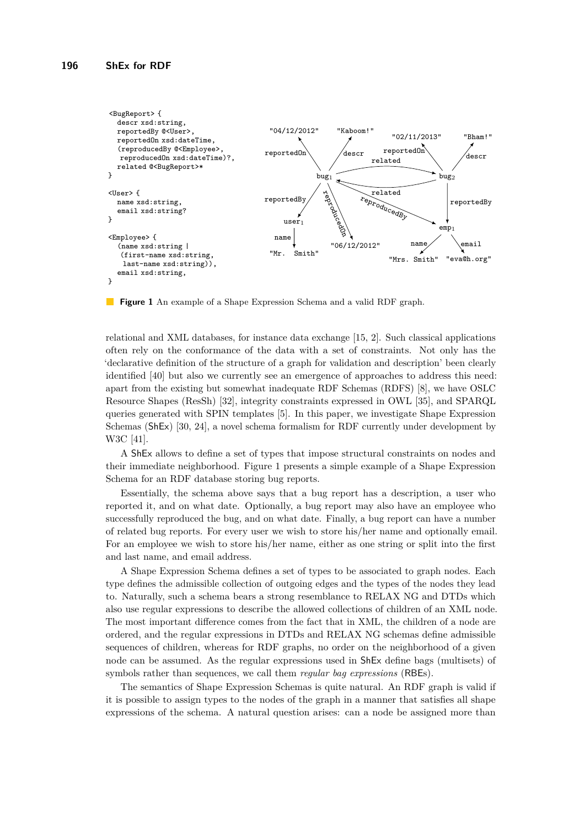<span id="page-2-0"></span>

**Figure 1** An example of a Shape Expression Schema and a valid RDF graph.

relational and XML databases, for instance data exchange [\[15,](#page-16-1) [2\]](#page-16-2). Such classical applications often rely on the conformance of the data with a set of constraints. Not only has the 'declarative definition of the structure of a graph for validation and description' been clearly identified [\[40\]](#page-17-1) but also we currently see an emergence of approaches to address this need: apart from the existing but somewhat inadequate RDF Schemas (RDFS) [\[8\]](#page-16-3), we have OSLC Resource Shapes (ResSh) [\[32\]](#page-17-2), integrity constraints expressed in OWL [\[35\]](#page-17-3), and SPARQL queries generated with SPIN templates [\[5\]](#page-16-4). In this paper, we investigate Shape Expression Schemas (ShEx) [\[30,](#page-17-4) [24\]](#page-17-5), a novel schema formalism for RDF currently under development by W3C [\[41\]](#page-17-6).

A ShEx allows to define a set of types that impose structural constraints on nodes and their immediate neighborhood. Figure [1](#page-2-0) presents a simple example of a Shape Expression Schema for an RDF database storing bug reports.

Essentially, the schema above says that a bug report has a description, a user who reported it, and on what date. Optionally, a bug report may also have an employee who successfully reproduced the bug, and on what date. Finally, a bug report can have a number of related bug reports. For every user we wish to store his/her name and optionally email. For an employee we wish to store his/her name, either as one string or split into the first and last name, and email address.

A Shape Expression Schema defines a set of types to be associated to graph nodes. Each type defines the admissible collection of outgoing edges and the types of the nodes they lead to. Naturally, such a schema bears a strong resemblance to RELAX NG and DTDs which also use regular expressions to describe the allowed collections of children of an XML node. The most important difference comes from the fact that in XML, the children of a node are ordered, and the regular expressions in DTDs and RELAX NG schemas define admissible sequences of children, whereas for RDF graphs, no order on the neighborhood of a given node can be assumed. As the regular expressions used in ShEx define bags (multisets) of symbols rather than sequences, we call them *regular bag expressions* (RBEs).

The semantics of Shape Expression Schemas is quite natural. An RDF graph is valid if it is possible to assign types to the nodes of the graph in a manner that satisfies all shape expressions of the schema. A natural question arises: can a node be assigned more than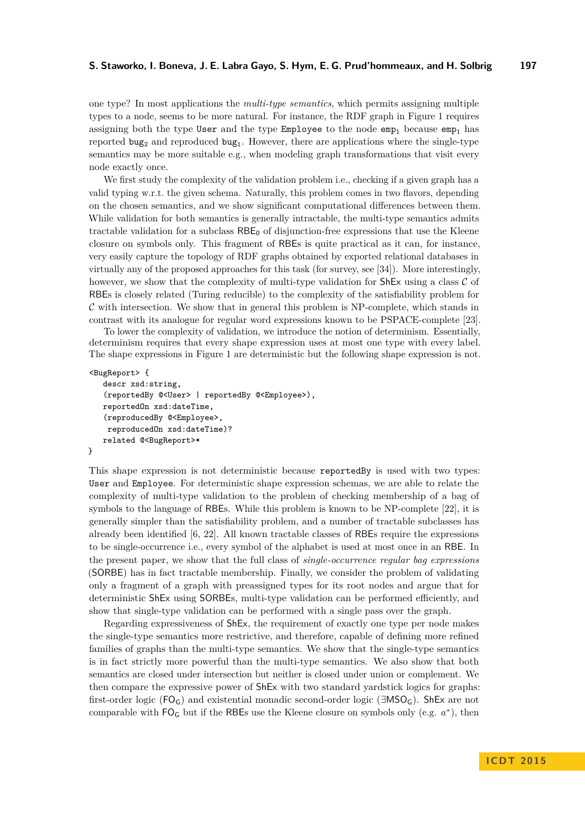one type? In most applications the *multi-type semantics*, which permits assigning multiple types to a node, seems to be more natural. For instance, the RDF graph in Figure [1](#page-2-0) requires assigning both the type User and the type Employee to the node  $emp<sub>1</sub>$  because  $emp<sub>1</sub>$  has reported  $\text{bug}_2$  and reproduced  $\text{bug}_1$ . However, there are applications where the single-type semantics may be more suitable e.g., when modeling graph transformations that visit every node exactly once.

We first study the complexity of the validation problem i.e., checking if a given graph has a valid typing w.r.t. the given schema. Naturally, this problem comes in two flavors, depending on the chosen semantics, and we show significant computational differences between them. While validation for both semantics is generally intractable, the multi-type semantics admits tractable validation for a subclass  $RBE_0$  of disjunction-free expressions that use the Kleene closure on symbols only. This fragment of RBEs is quite practical as it can, for instance, very easily capture the topology of RDF graphs obtained by exported relational databases in virtually any of the proposed approaches for this task (for survey, see [\[34\]](#page-17-7)). More interestingly, however, we show that the complexity of multi-type validation for  $\text{ShEx}$  using a class C of RBEs is closely related (Turing reducible) to the complexity of the satisfiability problem for  $\mathcal C$  with intersection. We show that in general this problem is NP-complete, which stands in contrast with its analogue for regular word expressions known to be PSPACE-complete [\[23\]](#page-17-8).

To lower the complexity of validation, we introduce the notion of determinism. Essentially, determinism requires that every shape expression uses at most one type with every label. The shape expressions in Figure [1](#page-2-0) are deterministic but the following shape expression is not.

```
<BugReport> {
   descr xsd:string,
   (reportedBy @<User> | reportedBy @<Employee>),
   reportedOn xsd:dateTime,
   (reproducedBy @<Employee>,
    reproducedOn xsd:dateTime)?
   related @<BugReport>*
}
```
This shape expression is not deterministic because reportedBy is used with two types: User and Employee. For deterministic shape expression schemas, we are able to relate the complexity of multi-type validation to the problem of checking membership of a bag of symbols to the language of RBEs. While this problem is known to be NP-complete [\[22\]](#page-17-9), it is generally simpler than the satisfiability problem, and a number of tractable subclasses has already been identified [\[6,](#page-16-5) [22\]](#page-17-9). All known tractable classes of RBEs require the expressions to be single-occurrence i.e., every symbol of the alphabet is used at most once in an RBE. In the present paper, we show that the full class of *single-occurrence regular bag expressions* (SORBE) has in fact tractable membership. Finally, we consider the problem of validating only a fragment of a graph with preassigned types for its root nodes and argue that for deterministic ShEx using SORBEs, multi-type validation can be performed efficiently, and show that single-type validation can be performed with a single pass over the graph.

Regarding expressiveness of ShEx, the requirement of exactly one type per node makes the single-type semantics more restrictive, and therefore, capable of defining more refined families of graphs than the multi-type semantics. We show that the single-type semantics is in fact strictly more powerful than the multi-type semantics. We also show that both semantics are closed under intersection but neither is closed under union or complement. We then compare the expressive power of ShEx with two standard yardstick logics for graphs: first-order logic ( $FO<sub>G</sub>$ ) and existential monadic second-order logic ( $\exists MSO<sub>G</sub>$ ). ShEx are not comparable with  $FO<sub>G</sub>$  but if the RBEs use the Kleene closure on symbols only (e.g.  $a^*$ ), then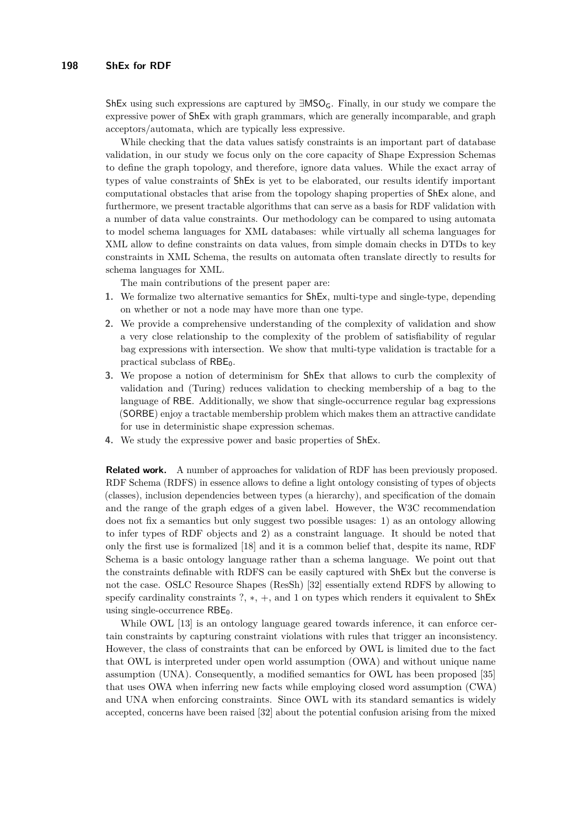ShEx using such expressions are captured by  $\exists MSO_G$ . Finally, in our study we compare the expressive power of ShEx with graph grammars, which are generally incomparable, and graph acceptors/automata, which are typically less expressive.

While checking that the data values satisfy constraints is an important part of database validation, in our study we focus only on the core capacity of Shape Expression Schemas to define the graph topology, and therefore, ignore data values. While the exact array of types of value constraints of ShEx is yet to be elaborated, our results identify important computational obstacles that arise from the topology shaping properties of ShEx alone, and furthermore, we present tractable algorithms that can serve as a basis for RDF validation with a number of data value constraints. Our methodology can be compared to using automata to model schema languages for XML databases: while virtually all schema languages for XML allow to define constraints on data values, from simple domain checks in DTDs to key constraints in XML Schema, the results on automata often translate directly to results for schema languages for XML.

The main contributions of the present paper are:

- **1.** We formalize two alternative semantics for ShEx, multi-type and single-type, depending on whether or not a node may have more than one type.
- **2.** We provide a comprehensive understanding of the complexity of validation and show a very close relationship to the complexity of the problem of satisfiability of regular bag expressions with intersection. We show that multi-type validation is tractable for a practical subclass of  $RBE_0$ .
- **3.** We propose a notion of determinism for ShEx that allows to curb the complexity of validation and (Turing) reduces validation to checking membership of a bag to the language of RBE. Additionally, we show that single-occurrence regular bag expressions (SORBE) enjoy a tractable membership problem which makes them an attractive candidate for use in deterministic shape expression schemas.
- **4.** We study the expressive power and basic properties of ShEx.

**Related work.** A number of approaches for validation of RDF has been previously proposed. RDF Schema (RDFS) in essence allows to define a light ontology consisting of types of objects (classes), inclusion dependencies between types (a hierarchy), and specification of the domain and the range of the graph edges of a given label. However, the W3C recommendation does not fix a semantics but only suggest two possible usages: 1) as an ontology allowing to infer types of RDF objects and 2) as a constraint language. It should be noted that only the first use is formalized [\[18\]](#page-17-10) and it is a common belief that, despite its name, RDF Schema is a basic ontology language rather than a schema language. We point out that the constraints definable with RDFS can be easily captured with ShEx but the converse is not the case. OSLC Resource Shapes (ResSh) [\[32\]](#page-17-2) essentially extend RDFS by allowing to specify cardinality constraints ?, \*, +, and 1 on types which renders it equivalent to ShEx using single-occurrence  $RBE_0$ .

While OWL [\[13\]](#page-16-6) is an ontology language geared towards inference, it can enforce certain constraints by capturing constraint violations with rules that trigger an inconsistency. However, the class of constraints that can be enforced by OWL is limited due to the fact that OWL is interpreted under open world assumption (OWA) and without unique name assumption (UNA). Consequently, a modified semantics for OWL has been proposed [\[35\]](#page-17-3) that uses OWA when inferring new facts while employing closed word assumption (CWA) and UNA when enforcing constraints. Since OWL with its standard semantics is widely accepted, concerns have been raised [\[32\]](#page-17-2) about the potential confusion arising from the mixed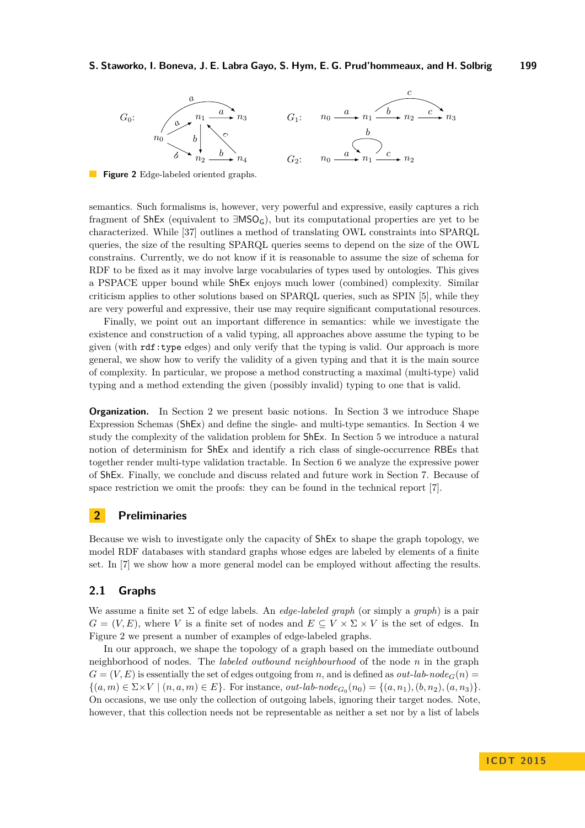#### **S. Staworko, I. Boneva, J. E. Labra Gayo, S. Hym, E. G. Prud'hommeaux, and H. Solbrig 199**

<span id="page-5-1"></span>

**Figure 2** Edge-labeled oriented graphs.

semantics. Such formalisms is, however, very powerful and expressive, easily captures a rich fragment of ShEx (equivalent to  $\exists\text{MSO}_G$ ), but its computational properties are yet to be characterized. While [\[37\]](#page-17-11) outlines a method of translating OWL constraints into SPARQL queries, the size of the resulting SPARQL queries seems to depend on the size of the OWL constrains. Currently, we do not know if it is reasonable to assume the size of schema for RDF to be fixed as it may involve large vocabularies of types used by ontologies. This gives a PSPACE upper bound while ShEx enjoys much lower (combined) complexity. Similar criticism applies to other solutions based on SPARQL queries, such as SPIN [\[5\]](#page-16-4), while they are very powerful and expressive, their use may require significant computational resources.

Finally, we point out an important difference in semantics: while we investigate the existence and construction of a valid typing, all approaches above assume the typing to be given (with rdf:type edges) and only verify that the typing is valid. Our approach is more general, we show how to verify the validity of a given typing and that it is the main source of complexity. In particular, we propose a method constructing a maximal (multi-type) valid typing and a method extending the given (possibly invalid) typing to one that is valid.

**Organization.** In Section [2](#page-5-0) we present basic notions. In Section [3](#page-7-0) we introduce Shape Expression Schemas (ShEx) and define the single- and multi-type semantics. In Section [4](#page-8-0) we study the complexity of the validation problem for ShEx. In Section [5](#page-10-0) we introduce a natural notion of determinism for ShEx and identify a rich class of single-occurrence RBEs that together render multi-type validation tractable. In Section [6](#page-14-0) we analyze the expressive power of ShEx. Finally, we conclude and discuss related and future work in Section [7.](#page-15-0) Because of space restriction we omit the proofs: they can be found in the technical report [\[7\]](#page-16-7).

## <span id="page-5-0"></span>**2 Preliminaries**

Because we wish to investigate only the capacity of ShEx to shape the graph topology, we model RDF databases with standard graphs whose edges are labeled by elements of a finite set. In [\[7\]](#page-16-7) we show how a more general model can be employed without affecting the results.

#### **2.1 Graphs**

We assume a finite set Σ of edge labels. An *edge-labeled graph* (or simply a *graph*) is a pair  $G = (V, E)$ , where *V* is a finite set of nodes and  $E \subseteq V \times \Sigma \times V$  is the set of edges. In Figure [2](#page-5-1) we present a number of examples of edge-labeled graphs.

In our approach, we shape the topology of a graph based on the immediate outbound neighborhood of nodes. The *labeled outbound neighbourhood* of the node *n* in the graph  $G = (V, E)$  is essentially the set of edges outgoing from *n*, and is defined as *out-lab-node*<sub> $G(n)$ </sub>  $\{(a, m) \in \Sigma \times V \mid (n, a, m) \in E\}$ . For instance, *out-lab-node*<sub>*G*0</sub> $(n_0) = \{(a, n_1), (b, n_2), (a, n_3)\}$ . On occasions, we use only the collection of outgoing labels, ignoring their target nodes. Note, however, that this collection needs not be representable as neither a set nor by a list of labels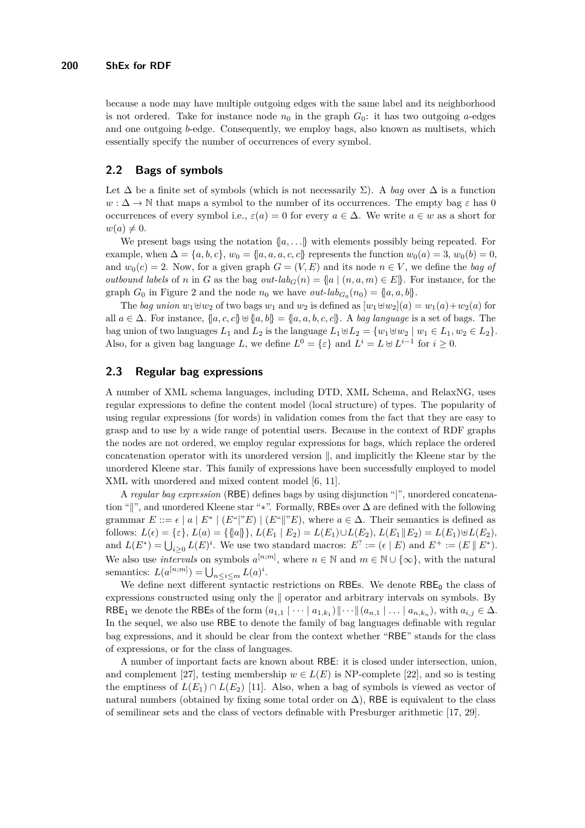because a node may have multiple outgoing edges with the same label and its neighborhood is not ordered. Take for instance node  $n_0$  in the graph  $G_0$ : it has two outgoing *a*-edges and one outgoing *b*-edge. Consequently, we employ bags, also known as multisets, which essentially specify the number of occurrences of every symbol.

#### **2.2 Bags of symbols**

Let  $\Delta$  be a finite set of symbols (which is not necessarily  $\Sigma$ ). A *bag* over  $\Delta$  is a function  $w: \Delta \to \mathbb{N}$  that maps a symbol to the number of its occurrences. The empty bag  $\varepsilon$  has 0 occurrences of every symbol i.e.,  $\varepsilon(a) = 0$  for every  $a \in \Delta$ . We write  $a \in w$  as a short for  $w(a) \neq 0.$ 

We present bags using the notation  $\{a, \ldots\}$  with elements possibly being repeated. For example, when  $\Delta = \{a, b, c\}$ ,  $w_0 = \{a, a, a, c, c\}$  represents the function  $w_0(a) = 3$ ,  $w_0(b) = 0$ , and  $w_0(c) = 2$ . Now, for a given graph  $G = (V, E)$  and its node  $n \in V$ , we define the *bag of outbound labels* of *n* in *G* as the bag *out-lab<sub>G</sub>*(*n*) = {|a | (*n, a, m*)  $\in$  *E*|}. For instance, for the graph  $G_0$  in Figure [2](#page-5-1) and the node  $n_0$  we have  $out\text{-}lab_{G_0}(n_0) = \{a, a, b\}.$ 

The *bag union*  $w_1 \oplus w_2$  of two bags  $w_1$  and  $w_2$  is defined as  $[w_1 \oplus w_2](a) = w_1(a) + w_2(a)$  for all  $a \in \Delta$ . For instance,  $\{a, c, c\} \cup \{a, b\} = \{a, a, b, c, c\}$ . A *bag language* is a set of bags. The bag union of two languages  $L_1$  and  $L_2$  is the language  $L_1 \oplus L_2 = \{w_1 \oplus w_2 \mid w_1 \in L_1, w_2 \in L_2\}.$ Also, for a given bag language *L*, we define  $L^0 = \{\varepsilon\}$  and  $L^i = L \oplus L^{i-1}$  for  $i \geq 0$ .

## **2.3 Regular bag expressions**

A number of XML schema languages, including DTD, XML Schema, and RelaxNG, uses regular expressions to define the content model (local structure) of types. The popularity of using regular expressions (for words) in validation comes from the fact that they are easy to grasp and to use by a wide range of potential users. Because in the context of RDF graphs the nodes are not ordered, we employ regular expressions for bags, which replace the ordered concatenation operator with its unordered version  $\parallel$ , and implicitly the Kleene star by the unordered Kleene star. This family of expressions have been successfully employed to model XML with unordered and mixed content model [\[6,](#page-16-5) [11\]](#page-16-8).

A *regular bag expression* (RBE) defines bags by using disjunction "|", unordered concatenation "||", and unordered Kleene star "∗". Formally, RBEs over ∆ are defined with the following grammar  $E ::= \epsilon | a | E^* | (E^* | E) | (E^* | E)$ , where  $a \in \Delta$ . Their semantics is defined as  $L(\epsilon) = {\epsilon}$ ,  $L(a) = {\{a\}, L(a) = {\{a\}, k(c) \in L(E_1 | E_2) = L(E_1) \cup L(E_2), L(E_1 | E_2) = L(E_1) \cup L(E_2)}$ and  $L(E^*) = \bigcup_{i \geq 0} L(E)^i$ . We use two standard macros:  $E^? := (\epsilon | E)$  and  $E^+ := (E | E^*)$ . We also use *intervals* on symbols  $a^{[n;m]}$ , where  $n \in \mathbb{N}$  and  $m \in \mathbb{N} \cup \{\infty\}$ , with the natural semantics:  $L(a^{[n;m]}) = \bigcup_{n \leq i \leq m} L(a)^i$ .

We define next different syntactic restrictions on RBEs. We denote  $RBE_0$  the class of expressions constructed using only the || operator and arbitrary intervals on symbols. By RBE<sub>1</sub> we denote the RBEs of the form  $(a_{1,1} | \cdots | a_{1,k_1}) || \cdots || (a_{n,1} | \cdots | a_{n,k_n})$ , with  $a_{i,j} \in \Delta$ . In the sequel, we also use RBE to denote the family of bag languages definable with regular bag expressions, and it should be clear from the context whether "RBE" stands for the class of expressions, or for the class of languages.

A number of important facts are known about RBE: it is closed under intersection, union, and complement [\[27\]](#page-17-12), testing membership  $w \in L(E)$  is NP-complete [\[22\]](#page-17-9), and so is testing the emptiness of  $L(E_1) \cap L(E_2)$  [\[11\]](#page-16-8). Also, when a bag of symbols is viewed as vector of natural numbers (obtained by fixing some total order on  $\Delta$ ), RBE is equivalent to the class of semilinear sets and the class of vectors definable with Presburger arithmetic [\[17,](#page-17-13) [29\]](#page-17-14).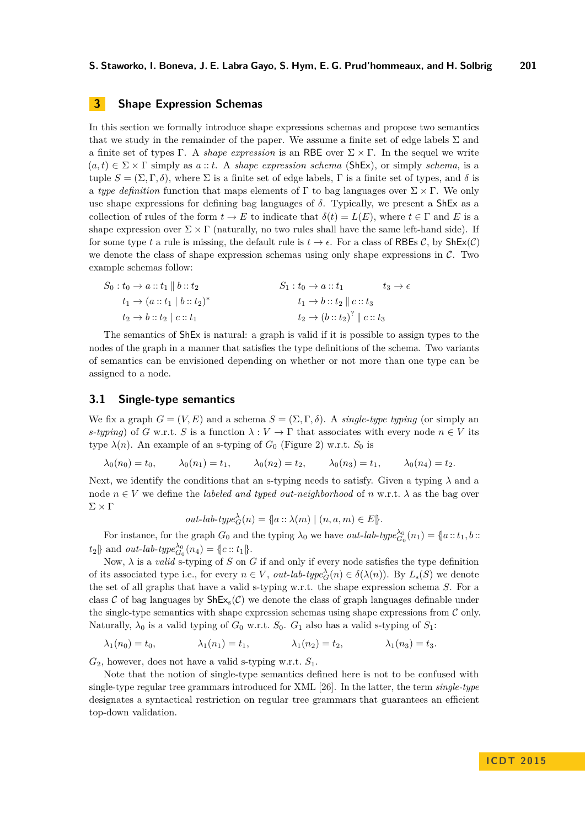## <span id="page-7-0"></span>**3 Shape Expression Schemas**

In this section we formally introduce shape expressions schemas and propose two semantics that we study in the remainder of the paper. We assume a finite set of edge labels  $\Sigma$  and a finite set of types Γ. A *shape expression* is an RBE over  $\Sigma \times \Gamma$ . In the sequel we write  $(a, t) \in \Sigma \times \Gamma$  simply as  $a :: t$ . A *shape expression schema* (ShEx), or simply *schema*, is a tuple  $S = (\Sigma, \Gamma, \delta)$ , where  $\Sigma$  is a finite set of edge labels,  $\Gamma$  is a finite set of types, and  $\delta$  is a *type definition* function that maps elements of  $\Gamma$  to bag languages over  $\Sigma \times \Gamma$ . We only use shape expressions for defining bag languages of  $\delta$ . Typically, we present a ShEx as a collection of rules of the form  $t \to E$  to indicate that  $\delta(t) = L(E)$ , where  $t \in \Gamma$  and E is a shape expression over  $\Sigma \times \Gamma$  (naturally, no two rules shall have the same left-hand side). If for some type *t* a rule is missing, the default rule is  $t \to \epsilon$ . For a class of RBEs C, by ShEx(C) we denote the class of shape expression schemas using only shape expressions in  $\mathcal{C}$ . Two example schemas follow:

| $S_0: t_0 \to a :: t_1 \parallel b :: t_2$ | $S_1: t_0 \rightarrow a :: t_1$               | $t_3 \rightarrow \epsilon$ |
|--------------------------------------------|-----------------------------------------------|----------------------------|
| $t_1 \to (a :: t_1 \mid b :: t_2)^*$       | $t_1 \rightarrow b :: t_2 \parallel c :: t_3$ |                            |
| $t_2 \rightarrow b :: t_2 \mid c :: t_1$   | $t_2 \rightarrow (b::t_2)^? \parallel c::t_3$ |                            |

The semantics of ShEx is natural: a graph is valid if it is possible to assign types to the nodes of the graph in a manner that satisfies the type definitions of the schema. Two variants of semantics can be envisioned depending on whether or not more than one type can be assigned to a node.

## **3.1 Single-type semantics**

We fix a graph  $G = (V, E)$  and a schema  $S = (\Sigma, \Gamma, \delta)$ . A *single-type typing* (or simply an *s-typing*) of *G* w.r.t. *S* is a function  $\lambda : V \to \Gamma$  that associates with every node  $n \in V$  its type  $\lambda(n)$ . An example of an s-typing of  $G_0$  (Figure [2\)](#page-5-1) w.r.t.  $S_0$  is

$$
\lambda_0(n_0) = t_0,
$$
\n $\lambda_0(n_1) = t_1,$ \n $\lambda_0(n_2) = t_2,$ \n $\lambda_0(n_3) = t_1,$ \n $\lambda_0(n_4) = t_2.$ 

Next, we identify the conditions that an s-typing needs to satisfy. Given a typing *λ* and a node  $n \in V$  we define the *labeled and typed out-neighborhood* of *n* w.r.t.  $\lambda$  as the bag over  $\Sigma \times \Gamma$ 

$$
out\text{-}lab\text{-}type_G^{\lambda}(n) = \{a :: \lambda(m) \mid (n, a, m) \in E\}.
$$

For instance, for the graph  $G_0$  and the typing  $\lambda_0$  we have *out-lab-type* $\lambda_{G_0}^{\lambda_0}(n_1) = \{a : t_1, b : t_2 \}$  $t_2$  and *out-lab-type*<sup> $\lambda_0$ </sup><sub>*G*<sup>0</sup></sub> (*n*<sub>4</sub>) = {|*c* :: *t*<sub>1</sub>}.

Now,  $\lambda$  is a *valid* s-typing of *S* on *G* if and only if every node satisfies the type definition of its associated type i.e., for every  $n \in V$ , *out-lab-type*<sup> $\lambda$ </sup><sub>*G*</sub>(*n*)  $\in \delta(\lambda(n))$ . By  $L_s(S)$  we denote the set of all graphs that have a valid s-typing w.r.t. the shape expression schema *S*. For a class C of bag languages by  $\text{ShEx}_{s}(\mathcal{C})$  we denote the class of graph languages definable under the single-type semantics with shape expression schemas using shape expressions from  $C$  only. Naturally,  $\lambda_0$  is a valid typing of  $G_0$  w.r.t.  $S_0$ .  $G_1$  also has a valid s-typing of  $S_1$ :

$$
\lambda_1(n_0) = t_0,
$$
\n $\lambda_1(n_1) = t_1,$ \n $\lambda_1(n_2) = t_2,$ \n $\lambda_1(n_3) = t_3.$ 

*G*2, however, does not have a valid s-typing w.r.t. *S*1.

Note that the notion of single-type semantics defined here is not to be confused with single-type regular tree grammars introduced for XML [\[26\]](#page-17-15). In the latter, the term *single-type* designates a syntactical restriction on regular tree grammars that guarantees an efficient top-down validation.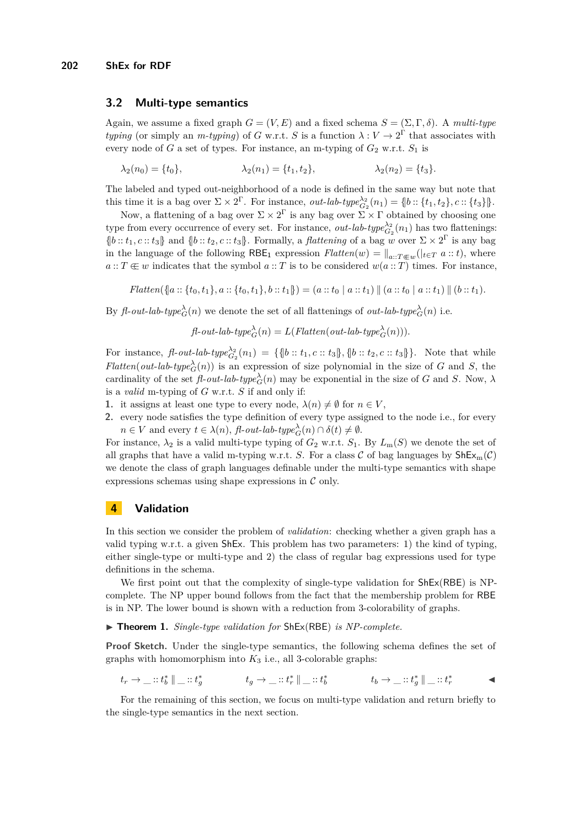#### **3.2 Multi-type semantics**

Again, we assume a fixed graph  $G = (V, E)$  and a fixed schema  $S = (\Sigma, \Gamma, \delta)$ . A *multi-type typing* (or simply an *m-typing*) of *G* w.r.t. *S* is a function  $\lambda : V \to 2^{\Gamma}$  that associates with every node of *G* a set of types. For instance, an m-typing of  $G_2$  w.r.t.  $S_1$  is

$$
\lambda_2(n_0) = \{t_0\}, \qquad \lambda_2(n_1) = \{t_1, t_2\}, \qquad \lambda_2(n_2) = \{t_3\}.
$$

The labeled and typed out-neighborhood of a node is defined in the same way but note that this time it is a bag over  $\Sigma \times 2^{\Gamma}$ . For instance, *out-lab-type* $\frac{\lambda_2}{G_2}(n_1) = \{b : \{t_1, t_2\}, c : \{t_3\}\}\.$ 

Now, a flattening of a bag over  $\Sigma \times 2^{\Gamma}$  is any bag over  $\Sigma \times \Gamma$  obtained by choosing one type from every occurrence of every set. For instance,  $out\text{-}lab\text{-}type_{G_2}^{\lambda_2}(n_1)$  has two flattenings:  $\{b : : t_1, c : : t_3\}$  and  $\{b : : t_2, c : : t_3\}$ . Formally, a *flattening* of a bag *w* over  $\Sigma \times 2^{\Gamma}$  is any bag in the language of the following  $RBE_1$  expression  $Flatten(w) = ||_{a::T \in \mathcal{W}}(|_{t \in T} a::t)$ , where  $a: T \notin w$  indicates that the symbol  $a: T$  is to be considered  $w(a: T)$  times. For instance,

 $Flatten(\{a::\{t_0, t_1\}, a::\{t_0, t_1\}, b::t_1\}) = (a::t_0 | a::t_1) || (a::t_0 | a::t_1) || (b::t_1).$ 

By *fl*-*out*-*lab*-*type*<sup> $\lambda$ </sup><sub>*G*</sub>(*n*) we denote the set of all flattenings of *out*-*lab*-*type*<sup> $\lambda$ </sup><sub>*G*</sub>(*n*) i.e.

$$
\textit{fl-out-lab-type} \overset{\lambda}{C}(n) = L(\textit{Flatten}(out-lab-type \overset{\lambda}{C}(n))).
$$

For instance,  $\text{fl-}out\text{-}lab\text{-}type_{G_2}^{\lambda_2}(n_1) = \{ \text{flb} :: t_1, c :: t_3 \}, \text{flb} :: t_2, c :: t_3 \}$ . Note that while *Flatten*(*out-lab-type*<sup> $\lambda$ </sup><sub>*G*</sub>(*n*)) is an expression of size polynomial in the size of *G* and *S*, the cardinality of the set  $\text{fl}-out-lab-type\overset{\lambda}{c}_{G}(n)$  may be exponential in the size of *G* and *S*. Now,  $\lambda$ is a *valid* m-typing of *G* w.r.t. *S* if and only if:

- **1.** it assigns at least one type to every node,  $\lambda(n) \neq \emptyset$  for  $n \in V$ .
- **2.** every node satisfies the type definition of every type assigned to the node i.e., for every  $n \in V$  and every  $t \in \lambda(n)$ ,  $\text{fl-out-lab-type}^{\lambda}_{G}(n) \cap \delta(t) \neq \emptyset$ .

For instance,  $\lambda_2$  is a valid multi-type typing of  $G_2$  w.r.t.  $S_1$ . By  $L_m(S)$  we denote the set of all graphs that have a valid m-typing w.r.t. *S*. For a class C of bag languages by  $\text{ShEx}_{m}(\mathcal{C})$ we denote the class of graph languages definable under the multi-type semantics with shape expressions schemas using shape expressions in  $\mathcal C$  only.

## <span id="page-8-0"></span>**4 Validation**

In this section we consider the problem of *validation*: checking whether a given graph has a valid typing w.r.t. a given ShEx. This problem has two parameters: 1) the kind of typing, either single-type or multi-type and 2) the class of regular bag expressions used for type definitions in the schema.

We first point out that the complexity of single-type validation for  $ShEx(RBE)$  is NPcomplete. The NP upper bound follows from the fact that the membership problem for RBE is in NP. The lower bound is shown with a reduction from 3-colorability of graphs.

#### <span id="page-8-1"></span>▶ **Theorem 1.** *Single-type validation for* ShEx(RBE) *is NP-complete.*

**Proof Sketch.** Under the single-type semantics, the following schema defines the set of graphs with homomorphism into  $K_3$  i.e., all 3-colorable graphs:

$$
t_r \to \_\colon :t_b^* \parallel \_\colon :t_g^* \qquad \qquad t_g \to \_\colon :t_r^* \parallel \_\colon :t_b^* \qquad \qquad t_b \to \_\colon :t_g^* \parallel \_\colon :t_r^* \qquad \qquad \blacktriangleleft
$$

For the remaining of this section, we focus on multi-type validation and return briefly to the single-type semantics in the next section.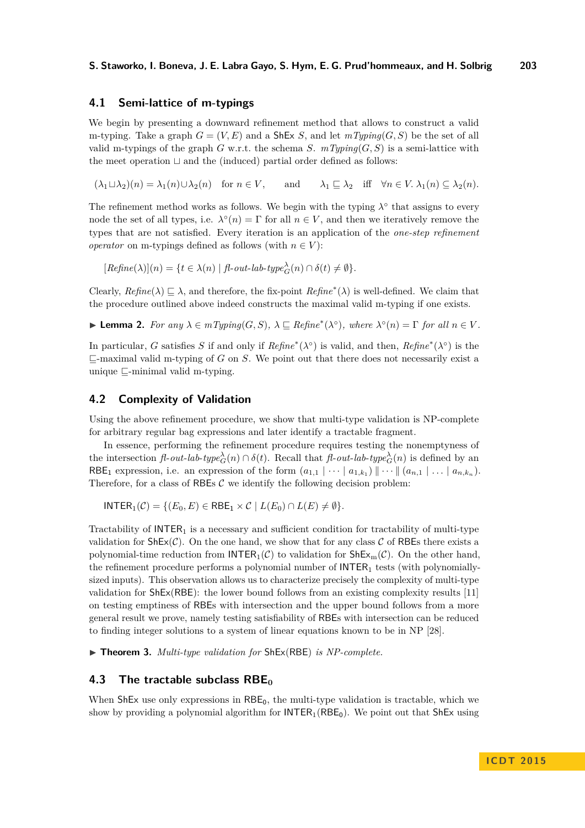## <span id="page-9-0"></span>**4.1 Semi-lattice of m-typings**

We begin by presenting a downward refinement method that allows to construct a valid m-typing. Take a graph  $G = (V, E)$  and a ShEx *S*, and let  $mTyping(G, S)$  be the set of all valid m-typings of the graph *G* w.r.t. the schema *S*.  $mTvpinq(G, S)$  is a semi-lattice with the meet operation  $\sqcup$  and the (induced) partial order defined as follows:

 $(\lambda_1 \sqcup \lambda_2)(n) = \lambda_1(n) \cup \lambda_2(n)$  for  $n \in V$ , and  $\lambda_1 \sqsubseteq \lambda_2$  iff  $\forall n \in V$ .  $\lambda_1(n) \subseteq \lambda_2(n)$ .

The refinement method works as follows. We begin with the typing  $\lambda^{\circ}$  that assigns to every node the set of all types, i.e.  $\lambda^{\circ}(n) = \Gamma$  for all  $n \in V$ , and then we iteratively remove the types that are not satisfied. Every iteration is an application of the *one-step refinement operator* on m-typings defined as follows (with  $n \in V$ ):

 $[Refine(\lambda)](n) = \{t \in \lambda(n) \mid \text{fl-out-lab-type}^{\lambda}_{G}(n) \cap \delta(t) \neq \emptyset\}.$ 

Clearly,  $Refine(\lambda) \sqsubseteq \lambda$ , and therefore, the fix-point  $Refine^*(\lambda)$  is well-defined. We claim that the procedure outlined above indeed constructs the maximal valid m-typing if one exists.

 $\blacktriangleright$  **Lemma 2.** For any  $\lambda \in mTyping(G, S)$ ,  $\lambda \sqsubseteq Refine^*(\lambda^{\circ})$ , where  $\lambda^{\circ}(n) = \Gamma$  for all  $n \in V$ .

In particular, *G* satisfies *S* if and only if  $Refine^*(\lambda^{\circ})$  is valid, and then,  $Refine^*(\lambda^{\circ})$  is the  $\sqsubseteq$ -maximal valid m-typing of *G* on *S*. We point out that there does not necessarily exist a unique  $\Box$ -minimal valid m-typing.

## **4.2 Complexity of Validation**

Using the above refinement procedure, we show that multi-type validation is NP-complete for arbitrary regular bag expressions and later identify a tractable fragment.

In essence, performing the refinement procedure requires testing the nonemptyness of the intersection  $f\ell$ -*out*-*lab*-*type*<sup> $\lambda$ </sup><sub>*G*</sub>(*n*)  $\cap$  *δ*(*t*). Recall that  $f\ell$ -*out*-*lab*-*type*<sup> $\lambda$ </sup><sub>*G*</sub>(*n*) is defined by an RBE<sub>1</sub> expression, i.e. an expression of the form  $(a_{1,1} | \cdots | a_{1,k_1}) || \cdots || (a_{n,1} | \cdots | a_{n,k_n}).$ Therefore, for a class of RBEs  $C$  we identify the following decision problem:

 $I\text{NTER}_1(\mathcal{C}) = \{(E_0, E) \in \text{RBE}_1 \times \mathcal{C} \mid L(E_0) \cap L(E) \neq \emptyset\}.$ 

Tractability of  $INTER<sub>1</sub>$  is a necessary and sufficient condition for tractability of multi-type validation for  $\text{ShEx}(\mathcal{C})$ . On the one hand, we show that for any class  $\mathcal C$  of RBEs there exists a polynomial-time reduction from  $\mathsf{INTER}_1(\mathcal{C})$  to validation for  $\mathsf{ShEx}_m(\mathcal{C})$ . On the other hand, the refinement procedure performs a polynomial number of  $INTER<sub>1</sub>$  tests (with polynomiallysized inputs). This observation allows us to characterize precisely the complexity of multi-type validation for ShEx(RBE): the lower bound follows from an existing complexity results [\[11\]](#page-16-8) on testing emptiness of RBEs with intersection and the upper bound follows from a more general result we prove, namely testing satisfiability of RBEs with intersection can be reduced to finding integer solutions to a system of linear equations known to be in NP [\[28\]](#page-17-16).

<span id="page-9-1"></span>▶ **Theorem 3.** *Multi-type validation for* ShEx(RBE) *is NP-complete.* 

## **4.3 The tractable subclass RBE<sup>0</sup>**

When  $\text{ShEx}$  use only expressions in  $\text{RBE}_0$ , the multi-type validation is tractable, which we show by providing a polynomial algorithm for  $INTER_1(REE_0)$ . We point out that ShEx using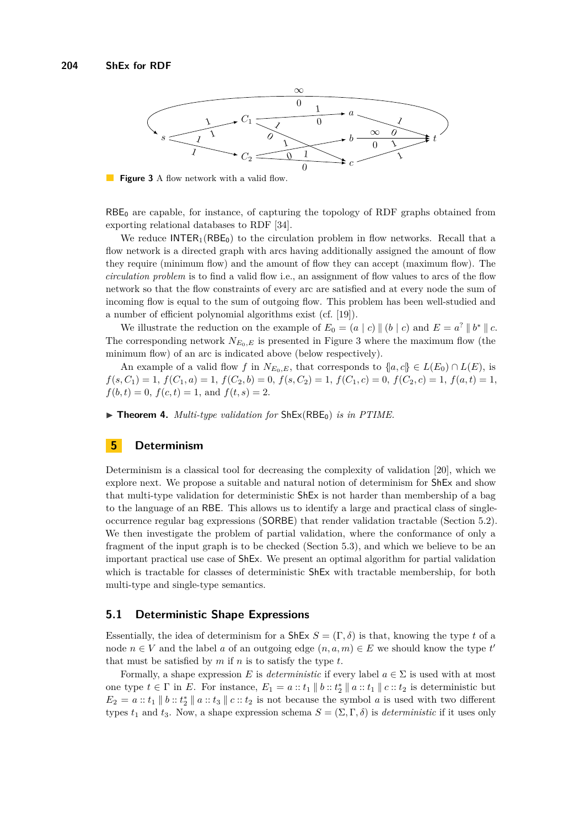<span id="page-10-1"></span>

**Figure 3** A flow network with a valid flow.

 $RBE<sub>0</sub>$  are capable, for instance, of capturing the topology of RDF graphs obtained from exporting relational databases to RDF [\[34\]](#page-17-7).

We reduce  $INTER_1(RBE_0)$  to the circulation problem in flow networks. Recall that a flow network is a directed graph with arcs having additionally assigned the amount of flow they require (minimum flow) and the amount of flow they can accept (maximum flow). The *circulation problem* is to find a valid flow i.e., an assignment of flow values to arcs of the flow network so that the flow constraints of every arc are satisfied and at every node the sum of incoming flow is equal to the sum of outgoing flow. This problem has been well-studied and a number of efficient polynomial algorithms exist (cf. [\[19\]](#page-17-17)).

We illustrate the reduction on the example of  $E_0 = (a \mid c) \parallel (b \mid c)$  and  $E = a^2 \parallel b^* \parallel c$ . The corresponding network  $N_{E_0,E}$  is presented in Figure [3](#page-10-1) where the maximum flow (the minimum flow) of an arc is indicated above (below respectively).

An example of a valid flow *f* in  $N_{E_0,E}$ , that corresponds to  $\{a, c\} \in L(E_0) \cap L(E)$ , is  $f(s, C_1) = 1, f(C_1, a) = 1, f(C_2, b) = 0, f(s, C_2) = 1, f(C_1, c) = 0, f(C_2, c) = 1, f(a, t) = 1,$  $f(b, t) = 0$ ,  $f(c, t) = 1$ , and  $f(t, s) = 2$ .

<span id="page-10-2"></span> $\triangleright$  **Theorem 4.** *Multi-type validation for*  $\text{ShEx}(\text{RBE}_0)$  *is in PTIME.* 

## <span id="page-10-0"></span>**5 Determinism**

Determinism is a classical tool for decreasing the complexity of validation [\[20\]](#page-17-18), which we explore next. We propose a suitable and natural notion of determinism for ShEx and show that multi-type validation for deterministic ShEx is not harder than membership of a bag to the language of an RBE. This allows us to identify a large and practical class of singleoccurrence regular bag expressions (SORBE) that render validation tractable (Section [5.2\)](#page-11-0). We then investigate the problem of partial validation, where the conformance of only a fragment of the input graph is to be checked (Section [5.3\)](#page-12-0), and which we believe to be an important practical use case of ShEx. We present an optimal algorithm for partial validation which is tractable for classes of deterministic ShEx with tractable membership, for both multi-type and single-type semantics.

## **5.1 Deterministic Shape Expressions**

Essentially, the idea of determinism for a  $\text{ShEx } S = (\Gamma, \delta)$  is that, knowing the type *t* of a node  $n \in V$  and the label *a* of an outgoing edge  $(n, a, m) \in E$  we should know the type *t*<sup>*'*</sup> that must be satisfied by *m* if *n* is to satisfy the type *t*.

Formally, a shape expression *E* is *deterministic* if every label  $a \in \Sigma$  is used with at most one type  $t \in \Gamma$  in *E*. For instance,  $E_1 = a :: t_1 \parallel b :: t_2^* \parallel a :: t_1 \parallel c :: t_2$  is deterministic but  $E_2 = a :: t_1 \parallel b :: t_2^* \parallel a :: t_3 \parallel c :: t_2$  is not because the symbol *a* is used with two different types  $t_1$  and  $t_3$ . Now, a shape expression schema  $S = (\Sigma, \Gamma, \delta)$  is *deterministic* if it uses only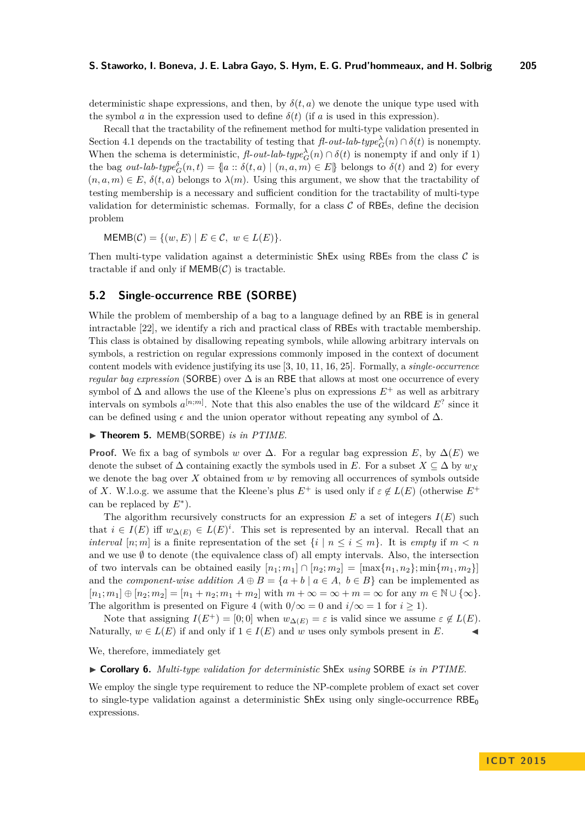deterministic shape expressions, and then, by  $\delta(t, a)$  we denote the unique type used with the symbol *a* in the expression used to define  $\delta(t)$  (if *a* is used in this expression).

Recall that the tractability of the refinement method for multi-type validation presented in Section [4.1](#page-9-0) depends on the tractability of testing that  $f \cdot out \cdot lab \cdot type^{\lambda}_{G}(n) \cap \delta(t)$  is nonempty. When the schema is deterministic,  $\text{f}l\text{-}out\text{-}lab\text{-}type_G^{\lambda}(n) \cap \delta(t)$  is nonempty if and only if 1) the bag *out-lab-type*<sup> $\delta$ </sup><sub> $G$ </sub>(*n, t*) = {|*a* ::  $\delta$ (*t, a*) | (*n, a, m*)  $\in$  *E*} belongs to  $\delta$ (*t*) and 2) for every  $(n, a, m) \in E$ ,  $\delta(t, a)$  belongs to  $\lambda(m)$ . Using this argument, we show that the tractability of testing membership is a necessary and sufficient condition for the tractability of multi-type validation for deterministic schemas. Formally, for a class  $\mathcal C$  of RBEs, define the decision problem

 $MEMB(\mathcal{C}) = \{(w, E) | E \in \mathcal{C}, w \in L(E)\}.$ 

Then multi-type validation against a deterministic  $\textsf{ShEx}$  using RBEs from the class  $\mathcal C$  is tractable if and only if  $MEMB(\mathcal{C})$  is tractable.

## <span id="page-11-0"></span>**5.2 Single-occurrence RBE (SORBE)**

While the problem of membership of a bag to a language defined by an RBE is in general intractable [\[22\]](#page-17-9), we identify a rich and practical class of RBEs with tractable membership. This class is obtained by disallowing repeating symbols, while allowing arbitrary intervals on symbols, a restriction on regular expressions commonly imposed in the context of document content models with evidence justifying its use [\[3,](#page-16-9) [10,](#page-16-10) [11,](#page-16-8) [16,](#page-16-11) [25\]](#page-17-19). Formally, a *single-occurrence regular bag expression* (SORBE) over ∆ is an RBE that allows at most one occurrence of every symbol of  $\Delta$  and allows the use of the Kleene's plus on expressions  $E^+$  as well as arbitrary intervals on symbols  $a^{[n;m]}$ . Note that this also enables the use of the wildcard  $E^?$  since it can be defined using  $\epsilon$  and the union operator without repeating any symbol of  $\Delta$ .

<span id="page-11-1"></span>▶ Theorem 5. MEMB(SORBE) *is in PTIME*.

**Proof.** We fix a bag of symbols *w* over  $\Delta$ . For a regular bag expression *E*, by  $\Delta(E)$  we denote the subset of  $\Delta$  containing exactly the symbols used in *E*. For a subset  $X \subseteq \Delta$  by  $w_X$ we denote the bag over *X* obtained from *w* by removing all occurrences of symbols outside of *X*. W.l.o.g. we assume that the Kleene's plus  $E^+$  is used only if  $\varepsilon \notin L(E)$  (otherwise  $E^+$ can be replaced by *E*<sup>∗</sup> ).

The algorithm recursively constructs for an expression  $E$  a set of integers  $I(E)$  such that  $i \in I(E)$  iff  $w_{\Delta(E)} \in L(E)^i$ . This set is represented by an interval. Recall that an *interval*  $[n; m]$  is a finite representation of the set  $\{i \mid n \leq i \leq m\}$ . It is *empty* if  $m < n$ and we use  $\emptyset$  to denote (the equivalence class of) all empty intervals. Also, the intersection of two intervals can be obtained easily  $[n_1; m_1] \cap [n_2; m_2] = [\max\{n_1, n_2\}; \min\{m_1, m_2\}]$ and the *component-wise addition*  $A \oplus B = \{a + b \mid a \in A, b \in B\}$  can be implemented as  $[n_1; m_1] \oplus [n_2; m_2] = [n_1 + n_2; m_1 + m_2]$  with  $m + \infty = \infty + m = \infty$  for any  $m \in \mathbb{N} \cup \{\infty\}.$ The algorithm is presented on Figure [4](#page-12-1) (with  $0/\infty = 0$  and  $i/\infty = 1$  for  $i \ge 1$ ).

Note that assigning  $I(E^+) = [0, 0]$  when  $w_{\Delta(E)} = \varepsilon$  is valid since we assume  $\varepsilon \notin L(E)$ . Naturally,  $w \in L(E)$  if and only if  $1 \in I(E)$  and w uses only symbols present in E.

We, therefore, immediately get

<span id="page-11-2"></span>I **Corollary 6.** *Multi-type validation for deterministic* ShEx *using* SORBE *is in PTIME.*

We employ the single type requirement to reduce the NP-complete problem of exact set cover to single-type validation against a deterministic  $ShEx$  using only single-occurrence  $RBE_0$ expressions.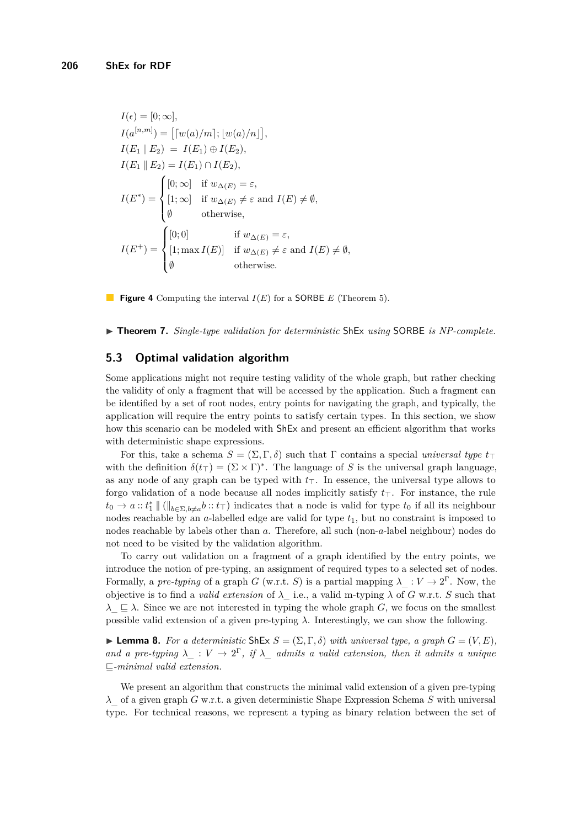<span id="page-12-1"></span>
$$
I(\epsilon) = [0; \infty],
$$
  
\n
$$
I(a^{[n,m]}) = [[w(a)/m]; [w(a)/n]],
$$
  
\n
$$
I(E_1 | E_2) = I(E_1) \oplus I(E_2),
$$
  
\n
$$
I(E_1 | E_2) = I(E_1) \cap I(E_2),
$$
  
\n
$$
I(E^*) = \begin{cases} [0; \infty] & \text{if } w_{\Delta(E)} = \varepsilon, \\ [1; \infty] & \text{if } w_{\Delta(E)} \neq \varepsilon \text{ and } I(E) \neq \emptyset, \\ \emptyset & \text{otherwise,} \end{cases}
$$
  
\n
$$
I(E^*) = \begin{cases} [0; 0] & \text{if } w_{\Delta(E)} = \varepsilon, \\ [1; \max I(E)] & \text{if } w_{\Delta(E)} \neq \varepsilon \text{ and } I(E) \neq \emptyset, \\ \emptyset & \text{otherwise.} \end{cases}
$$

**Figure 4** Computing the interval *I*(*E*) for a SORBE *E* (Theorem [5\)](#page-11-1).

<span id="page-12-2"></span>▶ **Theorem 7.** Single-type validation for deterministic ShEx using SORBE is NP-complete.

## <span id="page-12-0"></span>**5.3 Optimal validation algorithm**

Some applications might not require testing validity of the whole graph, but rather checking the validity of only a fragment that will be accessed by the application. Such a fragment can be identified by a set of root nodes, entry points for navigating the graph, and typically, the application will require the entry points to satisfy certain types. In this section, we show how this scenario can be modeled with ShEx and present an efficient algorithm that works with deterministic shape expressions.

For this, take a schema  $S = (\Sigma, \Gamma, \delta)$  such that  $\Gamma$  contains a special *universal type*  $t_{\top}$ with the definition  $\delta(t_{\perp}) = (\Sigma \times \Gamma)^*$ . The language of *S* is the universal graph language, as any node of any graph can be typed with  $t<sub>T</sub>$ . In essence, the universal type allows to forgo validation of a node because all nodes implicitly satisfy  $t<sub>T</sub>$ . For instance, the rule  $t_0 \to a$  ::  $t_1^* \parallel (\parallel_{b \in \Sigma, b \neq a} b : t_\top)$  indicates that a node is valid for type  $t_0$  if all its neighbour nodes reachable by an *a*-labelled edge are valid for type *t*1, but no constraint is imposed to nodes reachable by labels other than *a*. Therefore, all such (non-*a*-label neighbour) nodes do not need to be visited by the validation algorithm.

To carry out validation on a fragment of a graph identified by the entry points, we introduce the notion of pre-typing, an assignment of required types to a selected set of nodes. Formally, a *pre-typing* of a graph *G* (w.r.t. *S*) is a partial mapping  $\lambda_{\perp}: V \to 2^{\Gamma}$ . Now, the objective is to find a *valid extension* of  $\lambda$  i.e., a valid m-typing  $\lambda$  of *G* w.r.t. *S* such that  $\lambda \subseteq \lambda$ . Since we are not interested in typing the whole graph *G*, we focus on the smallest possible valid extension of a given pre-typing *λ*. Interestingly, we can show the following.

 $\blacktriangleright$  **Lemma 8.** For a deterministic ShEx  $S = (\Sigma, \Gamma, \delta)$  with universal type, a graph  $G = (V, E)$ , and a pre-typing  $\lambda$  :  $V \to 2^{\Gamma}$ , if  $\lambda$  admits a valid extension, then it admits a unique v*-minimal valid extension.*

We present an algorithm that constructs the minimal valid extension of a given pre-typing *λ*\_ of a given graph *G* w.r.t. a given deterministic Shape Expression Schema *S* with universal type. For technical reasons, we represent a typing as binary relation between the set of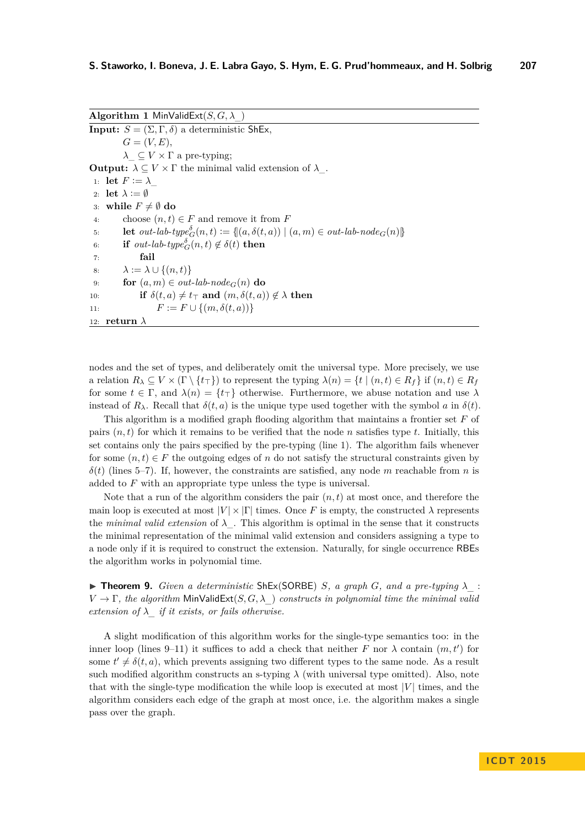**Algorithm 1** MinValidExt( $S, G, \lambda$ )

**Input:**  $S = (\Sigma, \Gamma, \delta)$  a deterministic ShEx,  $G = (V, E),$  $\lambda \subseteq V \times \Gamma$  a pre-typing; **Output:**  $\lambda \subseteq V \times \Gamma$  the minimal valid extension of  $\lambda$ . 1: **let**  $F := \lambda$ 2: **let**  $\lambda := \emptyset$ 3: **while**  $F \neq \emptyset$  do 4: choose  $(n, t) \in F$  and remove it from  $F$ 5: **let**  $out\text{-}lab\text{-}type^{\delta}_{G}(n,t) := \{(a,\delta(t,a)) \mid (a,m) \in out\text{-}lab\text{-}node_G(n)\}$ 6: **if**  $out\text{-}lab\text{-}type_G^{\delta}(n,t) \notin \delta(t)$  then 7: **fail**  $\lambda := \lambda \cup \{(n, t)\}\$ 9: **for**  $(a, m) \in out\text{-}lab\text{-}node_G(n)$  **do** 10: **if**  $\delta(t, a) \neq t_\top$  and  $(m, \delta(t, a)) \notin \lambda$  then 11:  $F := F \cup \{(m, \delta(t, a))\}$ 12: **return** *λ*

nodes and the set of types, and deliberately omit the universal type. More precisely, we use a relation  $R_\lambda \subseteq V \times (\Gamma \setminus \{t_\tau\})$  to represent the typing  $\lambda(n) = \{t \mid (n, t) \in R_f\}$  if  $(n, t) \in R_f$ for some  $t \in \Gamma$ , and  $\lambda(n) = \{t_{\top}\}\$  otherwise. Furthermore, we abuse notation and use  $\lambda$ instead of  $R_\lambda$ . Recall that  $\delta(t, a)$  is the unique type used together with the symbol *a* in  $\delta(t)$ .

This algorithm is a modified graph flooding algorithm that maintains a frontier set *F* of pairs  $(n, t)$  for which it remains to be verified that the node *n* satisfies type *t*. Initially, this set contains only the pairs specified by the pre-typing (line 1). The algorithm fails whenever for some  $(n, t) \in F$  the outgoing edges of *n* do not satisfy the structural constraints given by  $\delta(t)$  (lines 5–7). If, however, the constraints are satisfied, any node *m* reachable from *n* is added to *F* with an appropriate type unless the type is universal.

Note that a run of the algorithm considers the pair  $(n, t)$  at most once, and therefore the main loop is executed at most  $|V| \times |\Gamma|$  times. Once *F* is empty, the constructed  $\lambda$  represents the *minimal valid extension* of  $\lambda$ . This algorithm is optimal in the sense that it constructs the minimal representation of the minimal valid extension and considers assigning a type to a node only if it is required to construct the extension. Naturally, for single occurrence RBEs the algorithm works in polynomial time.

<span id="page-13-0"></span> $\triangleright$  **Theorem 9.** *Given a deterministic* ShEx(SORBE) *S, a graph G<sub></sub>, and a pre-typing*  $\lambda$  :  $V \to \Gamma$ , the algorithm MinValidExt $(S, G, \lambda)$  constructs in polynomial time the minimal valid *extension of*  $\lambda$  *if it exists, or fails otherwise.* 

A slight modification of this algorithm works for the single-type semantics too: in the inner loop (lines 9–11) it suffices to add a check that neither *F* nor  $\lambda$  contain  $(m, t')$  for some  $t' \neq \delta(t, a)$ , which prevents assigning two different types to the same node. As a result such modified algorithm constructs an s-typing  $\lambda$  (with universal type omitted). Also, note that with the single-type modification the while loop is executed at most |*V* | times, and the algorithm considers each edge of the graph at most once, i.e. the algorithm makes a single pass over the graph.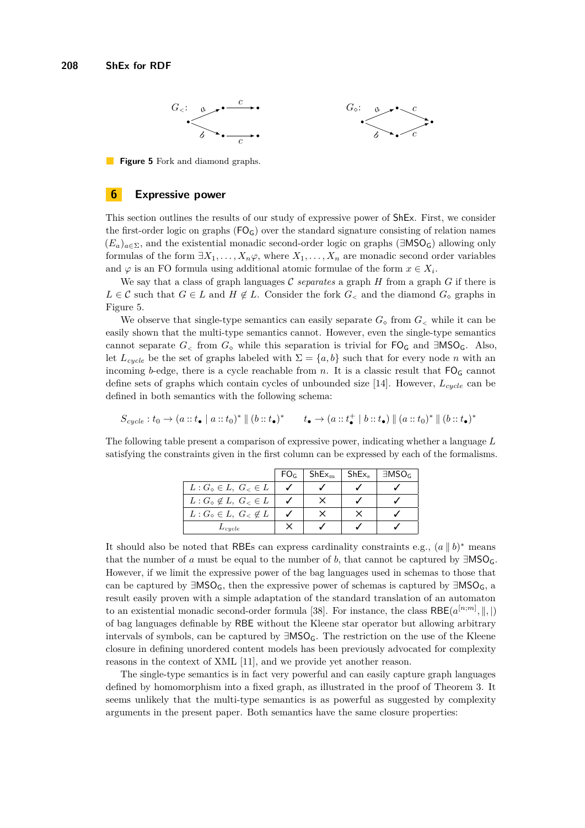<span id="page-14-1"></span>

**Figure 5** Fork and diamond graphs.

## <span id="page-14-0"></span>**6 Expressive power**

This section outlines the results of our study of expressive power of ShEx. First, we consider the first-order logic on graphs  $(FO<sub>G</sub>)$  over the standard signature consisting of relation names  $(E_a)_{a \in \Sigma}$ , and the existential monadic second-order logic on graphs ( $\exists MSO_G$ ) allowing only formulas of the form  $\exists X_1, \ldots, X_n \varphi$ , where  $X_1, \ldots, X_n$  are monadic second order variables and  $\varphi$  is an FO formula using additional atomic formulae of the form  $x \in X_i$ .

We say that a class of graph languages  $\mathcal C$  *separates* a graph  $H$  from a graph  $G$  if there is *L* ∈ *C* such that *G* ∈ *L* and *H* ∉ *L*. Consider the fork *G*<sub><</sub> and the diamond *G*<sub>*o*</sub> graphs in Figure [5.](#page-14-1)

We observe that single-type semantics can easily separate  $G_{\diamond}$  from  $G_{\leq}$  while it can be easily shown that the multi-type semantics cannot. However, even the single-type semantics cannot separate  $G_{\leq}$  from  $G_{\diamond}$  while this separation is trivial for  $\mathsf{FO}_\mathsf{G}$  and  $\exists\mathsf{MSO}_\mathsf{G}$ . Also, let  $L_{cycle}$  be the set of graphs labeled with  $\Sigma = \{a, b\}$  such that for every node *n* with an incoming *b*-edge, there is a cycle reachable from *n*. It is a classic result that  $FO<sub>G</sub>$  cannot define sets of graphs which contain cycles of unbounded size [\[14\]](#page-16-12). However, *Lcycle* can be defined in both semantics with the following schema:

$$
S_{cycle}: t_0 \to (a::t_{\bullet} \mid a::t_0)^* \parallel (b::t_{\bullet})^* \qquad t_{\bullet} \to (a::t_{\bullet}^+ \mid b::t_{\bullet}) \parallel (a::t_0)^* \parallel (b::t_{\bullet})^*
$$

The following table present a comparison of expressive power, indicating whether a language *L* satisfying the constraints given in the first column can be expressed by each of the formalisms.

|                                                     | FO <sub>G</sub> | ${\sf ShEx}_{\rm m}$ | $ShEx_{s}$ | $\exists MSO_G$ |
|-----------------------------------------------------|-----------------|----------------------|------------|-----------------|
| $L: G_{\diamond} \in L, G_{\leq} \in L$             |                 |                      |            |                 |
| $L: G_{\circ} \notin L, G_{\leq} \in L$             |                 |                      |            |                 |
| $L: G_{\diamond} \in L, G_{\leq \epsilon} \notin L$ |                 |                      |            |                 |
| $L_{cycle}$                                         |                 |                      |            |                 |

It should also be noted that RBEs can express cardinality constraints e.g.,  $(a \parallel b)^*$  means that the number of *a* must be equal to the number of *b*, that cannot be captured by  $\exists MSO_G$ . However, if we limit the expressive power of the bag languages used in schemas to those that can be captured by ∃MSO<sub>G</sub>, then the expressive power of schemas is captured by ∃MSO<sub>G</sub>, a result easily proven with a simple adaptation of the standard translation of an automaton to an existential monadic second-order formula [\[38\]](#page-17-20). For instance, the class  $RBE(a^{[n;m]}, \|, |)$ of bag languages definable by RBE without the Kleene star operator but allowing arbitrary intervals of symbols, can be captured by ∃MSOG. The restriction on the use of the Kleene closure in defining unordered content models has been previously advocated for complexity reasons in the context of XML [\[11\]](#page-16-8), and we provide yet another reason.

The single-type semantics is in fact very powerful and can easily capture graph languages defined by homomorphism into a fixed graph, as illustrated in the proof of Theorem [3.](#page-9-1) It seems unlikely that the multi-type semantics is as powerful as suggested by complexity arguments in the present paper. Both semantics have the same closure properties: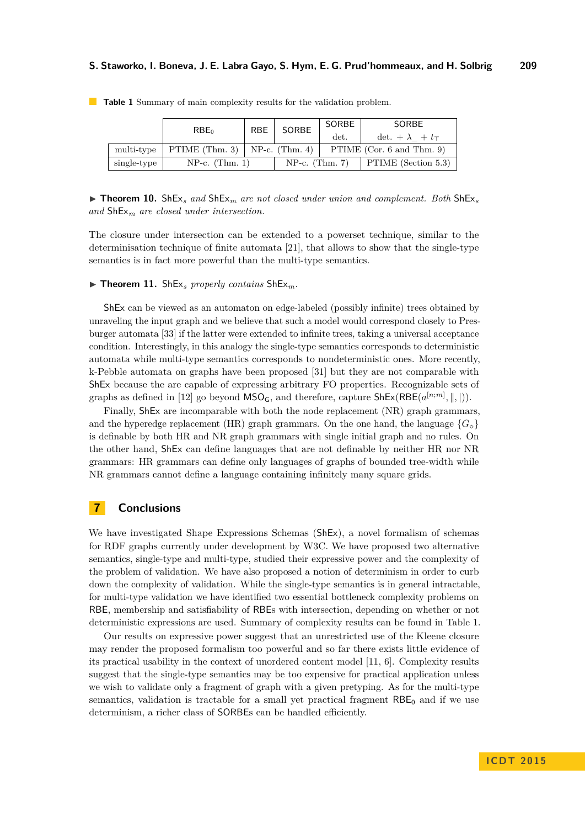| RBE  <br>RBE <sub>0</sub> |                                     | SORBE | SORBE                         | SORBE                     |                     |  |
|---------------------------|-------------------------------------|-------|-------------------------------|---------------------------|---------------------|--|
|                           |                                     | det.  | det. $+\lambda$ $+ t_{\perp}$ |                           |                     |  |
| multi-type                | PTIME $(Thm. 3)$   NP-c. $(Thm. 4)$ |       |                               | PTIME (Cor. 6 and Thm. 9) |                     |  |
| single-type               | $NP-c.$ (Thm. 1)                    |       | $NP-c.$ (Thm. 7)              |                           | PTIME (Section 5.3) |  |

<span id="page-15-1"></span>**Table 1** Summary of main complexity results for the validation problem.

**Findment 10.** ShEx<sub>*s*</sub> and ShEx<sub>*m*</sub> are not closed under union and complement. Both ShEx<sub>*s*</sub> *and* ShEx*<sup>m</sup> are closed under intersection.*

The closure under intersection can be extended to a powerset technique, similar to the determinisation technique of finite automata [\[21\]](#page-17-21), that allows to show that the single-type semantics is in fact more powerful than the multi-type semantics.

 $\blacktriangleright$  **Theorem 11.** ShEx<sub>*s</sub>* properly contains ShEx<sub>*m*</sub>.</sub>

ShEx can be viewed as an automaton on edge-labeled (possibly infinite) trees obtained by unraveling the input graph and we believe that such a model would correspond closely to Presburger automata [\[33\]](#page-17-22) if the latter were extended to infinite trees, taking a universal acceptance condition. Interestingly, in this analogy the single-type semantics corresponds to deterministic automata while multi-type semantics corresponds to nondeterministic ones. More recently, k-Pebble automata on graphs have been proposed [\[31\]](#page-17-23) but they are not comparable with ShEx because the are capable of expressing arbitrary FO properties. Recognizable sets of graphs as defined in [\[12\]](#page-16-13) go beyond  $\text{MSO}_\text{G}$ , and therefore, capture  $\text{ShEx}(\text{RBE}(a^{[n;m]},\parallel,\parallel)).$ 

Finally, ShEx are incomparable with both the node replacement (NR) graph grammars, and the hyperedge replacement (HR) graph grammars. On the one hand, the language  ${G_{\circ}}$ is definable by both HR and NR graph grammars with single initial graph and no rules. On the other hand, ShEx can define languages that are not definable by neither HR nor NR grammars: HR grammars can define only languages of graphs of bounded tree-width while NR grammars cannot define a language containing infinitely many square grids.

## <span id="page-15-0"></span>**7 Conclusions**

We have investigated Shape Expressions Schemas (ShEx), a novel formalism of schemas for RDF graphs currently under development by W3C. We have proposed two alternative semantics, single-type and multi-type, studied their expressive power and the complexity of the problem of validation. We have also proposed a notion of determinism in order to curb down the complexity of validation. While the single-type semantics is in general intractable, for multi-type validation we have identified two essential bottleneck complexity problems on RBE, membership and satisfiability of RBEs with intersection, depending on whether or not deterministic expressions are used. Summary of complexity results can be found in Table [1.](#page-15-1)

Our results on expressive power suggest that an unrestricted use of the Kleene closure may render the proposed formalism too powerful and so far there exists little evidence of its practical usability in the context of unordered content model [\[11,](#page-16-8) [6\]](#page-16-5). Complexity results suggest that the single-type semantics may be too expensive for practical application unless we wish to validate only a fragment of graph with a given pretyping. As for the multi-type semantics, validation is tractable for a small yet practical fragment  $RBE_0$  and if we use determinism, a richer class of SORBEs can be handled efficiently.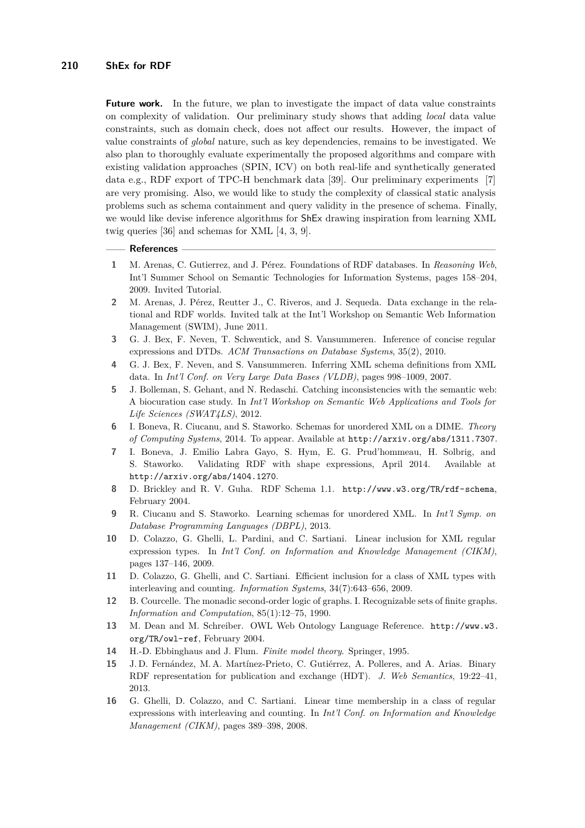**Future work.** In the future, we plan to investigate the impact of data value constraints on complexity of validation. Our preliminary study shows that adding *local* data value constraints, such as domain check, does not affect our results. However, the impact of value constraints of *global* nature, such as key dependencies, remains to be investigated. We also plan to thoroughly evaluate experimentally the proposed algorithms and compare with existing validation approaches (SPIN, ICV) on both real-life and synthetically generated data e.g., RDF export of TPC-H benchmark data [\[39\]](#page-17-24). Our preliminary experiments [\[7\]](#page-16-7) are very promising. Also, we would like to study the complexity of classical static analysis problems such as schema containment and query validity in the presence of schema. Finally, we would like devise inference algorithms for ShEx drawing inspiration from learning XML twig queries [\[36\]](#page-17-25) and schemas for XML [\[4,](#page-16-14) [3,](#page-16-9) [9\]](#page-16-15).

## **References**

- <span id="page-16-0"></span>**1** M. Arenas, C. Gutierrez, and J. Pérez. Foundations of RDF databases. In *Reasoning Web*, Int'l Summer School on Semantic Technologies for Information Systems, pages 158–204, 2009. Invited Tutorial.
- <span id="page-16-2"></span>**2** M. Arenas, J. Pérez, Reutter J., C. Riveros, and J. Sequeda. Data exchange in the relational and RDF worlds. Invited talk at the Int'l Workshop on Semantic Web Information Management (SWIM), June 2011.
- <span id="page-16-9"></span>**3** G. J. Bex, F. Neven, T. Schwentick, and S. Vansummeren. Inference of concise regular expressions and DTDs. *ACM Transactions on Database Systems*, 35(2), 2010.
- <span id="page-16-14"></span>**4** G. J. Bex, F. Neven, and S. Vansummeren. Inferring XML schema definitions from XML data. In *Int'l Conf. on Very Large Data Bases (VLDB)*, pages 998–1009, 2007.
- <span id="page-16-4"></span>**5** J. Bolleman, S. Gehant, and N. Redaschi. Catching inconsistencies with the semantic web: A biocuration case study. In *Int'l Workshop on Semantic Web Applications and Tools for Life Sciences (SWAT4LS)*, 2012.
- <span id="page-16-5"></span>**6** I. Boneva, R. Ciucanu, and S. Staworko. Schemas for unordered XML on a DIME. *Theory of Computing Systems*, 2014. To appear. Available at http://arxiv.org/abs/1311.7307.
- <span id="page-16-7"></span>**7** I. Boneva, J. Emilio Labra Gayo, S. Hym, E. G. Prud'hommeau, H. Solbrig, and S. Staworko. Validating RDF with shape expressions, April 2014. Available at http://arxiv.org/abs/1404.1270.
- <span id="page-16-3"></span>**8** D. Brickley and R. V. Guha. RDF Schema 1.1. <http://www.w3.org/TR/rdf-schema>, February 2004.
- <span id="page-16-15"></span>**9** R. Ciucanu and S. Staworko. Learning schemas for unordered XML. In *Int'l Symp. on Database Programming Languages (DBPL)*, 2013.
- <span id="page-16-10"></span>**10** D. Colazzo, G. Ghelli, L. Pardini, and C. Sartiani. Linear inclusion for XML regular expression types. In *Int'l Conf. on Information and Knowledge Management (CIKM)*, pages 137–146, 2009.
- <span id="page-16-8"></span>**11** D. Colazzo, G. Ghelli, and C. Sartiani. Efficient inclusion for a class of XML types with interleaving and counting. *Information Systems*, 34(7):643–656, 2009.
- <span id="page-16-13"></span>**12** B. Courcelle. The monadic second-order logic of graphs. I. Recognizable sets of finite graphs. *Information and Computation*, 85(1):12–75, 1990.
- <span id="page-16-6"></span>**13** M. Dean and M. Schreiber. OWL Web Ontology Language Reference. [http://www.w3.](http://www.w3.org/TR/owl-ref) [org/TR/owl-ref](http://www.w3.org/TR/owl-ref), February 2004.
- <span id="page-16-12"></span>**14** H.-D. Ebbinghaus and J. Flum. *Finite model theory*. Springer, 1995.
- <span id="page-16-1"></span>**15** J. D. Fernández, M. A. Martínez-Prieto, C. Gutiérrez, A. Polleres, and A. Arias. Binary RDF representation for publication and exchange (HDT). *J. Web Semantics*, 19:22–41, 2013.
- <span id="page-16-11"></span>**16** G. Ghelli, D. Colazzo, and C. Sartiani. Linear time membership in a class of regular expressions with interleaving and counting. In *Int'l Conf. on Information and Knowledge Management (CIKM)*, pages 389–398, 2008.